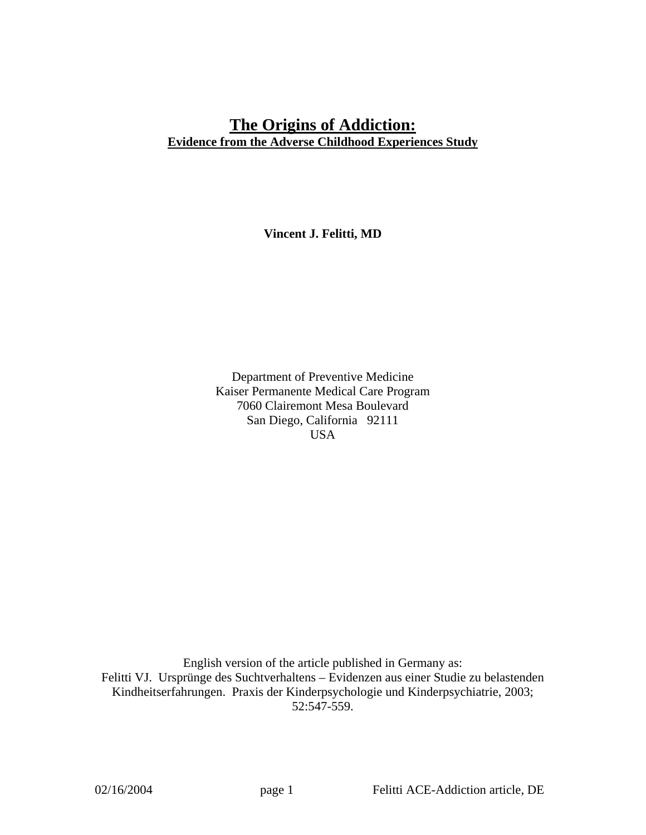# **The Origins of Addiction: Evidence from the Adverse Childhood Experiences Study**

**Vincent J. Felitti, MD**

Department of Preventive Medicine Kaiser Permanente Medical Care Program 7060 Clairemont Mesa Boulevard San Diego, California 92111 USA

English version of the article published in Germany as: Felitti VJ. Ursprünge des Suchtverhaltens – Evidenzen aus einer Studie zu belastenden Kindheitserfahrungen. Praxis der Kinderpsychologie und Kinderpsychiatrie, 2003; 52:547-559.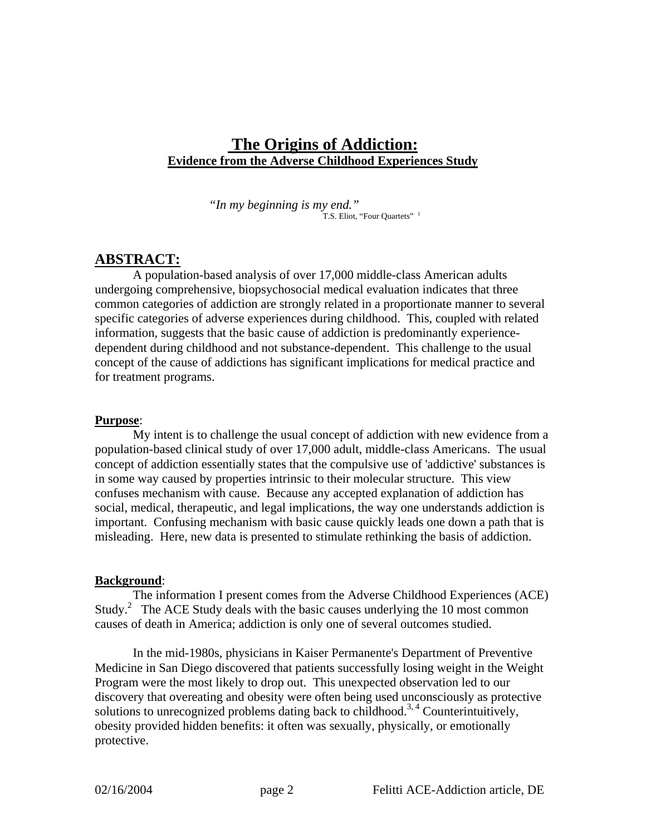# **The Origins of Addiction: Evidence from the Adverse Childhood Experiences Study**

*"In my beginning is my end."*  T.S. Eliot, "Four Quartets" <sup>1</sup>

# **ABSTRACT:**

A population-based analysis of over 17,000 middle-class American adults undergoing comprehensive, biopsychosocial medical evaluation indicates that three common categories of addiction are strongly related in a proportionate manner to several specific categories of adverse experiences during childhood. This, coupled with related information, suggests that the basic cause of addiction is predominantly experiencedependent during childhood and not substance-dependent. This challenge to the usual concept of the cause of addictions has significant implications for medical practice and for treatment programs.

#### **Purpose**:

My intent is to challenge the usual concept of addiction with new evidence from a population-based clinical study of over 17,000 adult, middle-class Americans. The usual concept of addiction essentially states that the compulsive use of 'addictive' substances is in some way caused by properties intrinsic to their molecular structure. This view confuses mechanism with cause. Because any accepted explanation of addiction has social, medical, therapeutic, and legal implications, the way one understands addiction is important. Confusing mechanism with basic cause quickly leads one down a path that is misleading. Here, new data is presented to stimulate rethinking the basis of addiction.

## **Background**:

The information I present comes from the Adverse Childhood Experiences (ACE) Study.<sup>2</sup> The ACE Study deals with the basic causes underlying the 10 most common causes of death in America; addiction is only one of several outcomes studied.

In the mid-1980s, physicians in Kaiser Permanente's Department of Preventive Medicine in San Diego discovered that patients successfully losing weight in the Weight Program were the most likely to drop out. This unexpected observation led to our discovery that overeating and obesity were often being used unconsciously as protective solutions to unrecognized problems dating back to childhood.<sup>3,4</sup> Counterintuitively, obesity provided hidden benefits: it often was sexually, physically, or emotionally protective.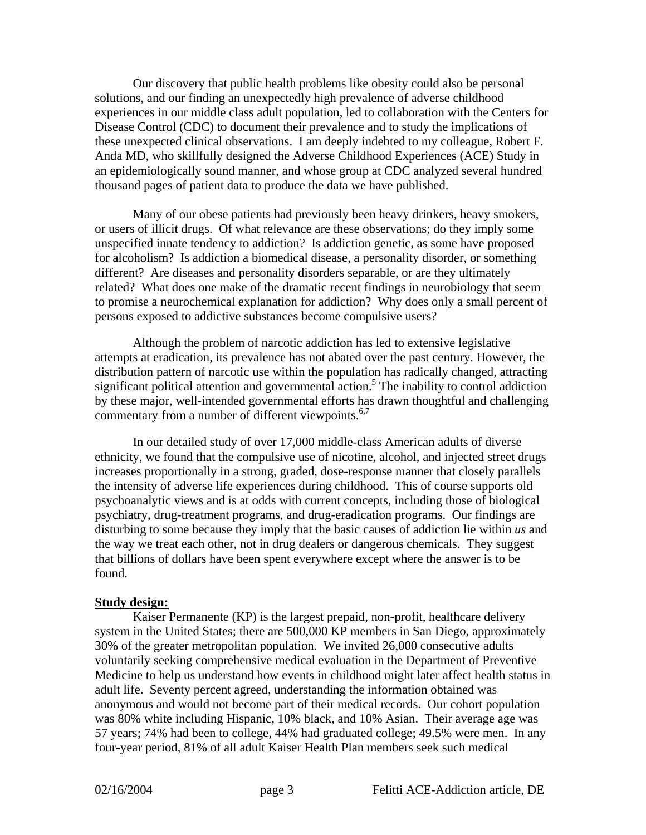Our discovery that public health problems like obesity could also be personal solutions, and our finding an unexpectedly high prevalence of adverse childhood experiences in our middle class adult population, led to collaboration with the Centers for Disease Control (CDC) to document their prevalence and to study the implications of these unexpected clinical observations. I am deeply indebted to my colleague, Robert F. Anda MD, who skillfully designed the Adverse Childhood Experiences (ACE) Study in an epidemiologically sound manner, and whose group at CDC analyzed several hundred thousand pages of patient data to produce the data we have published.

Many of our obese patients had previously been heavy drinkers, heavy smokers, or users of illicit drugs. Of what relevance are these observations; do they imply some unspecified innate tendency to addiction? Is addiction genetic, as some have proposed for alcoholism? Is addiction a biomedical disease, a personality disorder, or something different? Are diseases and personality disorders separable, or are they ultimately related? What does one make of the dramatic recent findings in neurobiology that seem to promise a neurochemical explanation for addiction? Why does only a small percent of persons exposed to addictive substances become compulsive users?

Although the problem of narcotic addiction has led to extensive legislative attempts at eradication, its prevalence has not abated over the past century. However, the distribution pattern of narcotic use within the population has radically changed, attracting significant political attention and governmental action.<sup>5</sup> The inability to control addiction by these major, well-intended governmental efforts has drawn thoughtful and challenging commentary from a number of different viewpoints.<sup>6,7</sup>

In our detailed study of over 17,000 middle-class American adults of diverse ethnicity, we found that the compulsive use of nicotine, alcohol, and injected street drugs increases proportionally in a strong, graded, dose-response manner that closely parallels the intensity of adverse life experiences during childhood. This of course supports old psychoanalytic views and is at odds with current concepts, including those of biological psychiatry, drug-treatment programs, and drug-eradication programs. Our findings are disturbing to some because they imply that the basic causes of addiction lie within *us* and the way we treat each other, not in drug dealers or dangerous chemicals. They suggest that billions of dollars have been spent everywhere except where the answer is to be found.

#### **Study design:**

Kaiser Permanente (KP) is the largest prepaid, non-profit, healthcare delivery system in the United States; there are 500,000 KP members in San Diego, approximately 30% of the greater metropolitan population. We invited 26,000 consecutive adults voluntarily seeking comprehensive medical evaluation in the Department of Preventive Medicine to help us understand how events in childhood might later affect health status in adult life. Seventy percent agreed, understanding the information obtained was anonymous and would not become part of their medical records. Our cohort population was 80% white including Hispanic, 10% black, and 10% Asian. Their average age was 57 years; 74% had been to college, 44% had graduated college; 49.5% were men. In any four-year period, 81% of all adult Kaiser Health Plan members seek such medical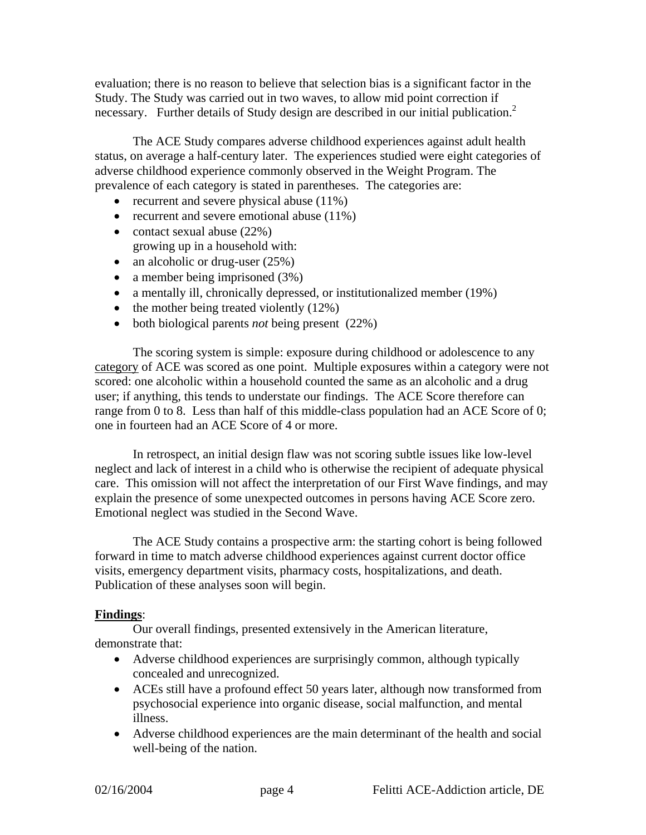evaluation; there is no reason to believe that selection bias is a significant factor in the Study. The Study was carried out in two waves, to allow mid point correction if necessary. Further details of Study design are described in our initial publication.<sup>2</sup>

The ACE Study compares adverse childhood experiences against adult health status, on average a half-century later. The experiences studied were eight categories of adverse childhood experience commonly observed in the Weight Program. The prevalence of each category is stated in parentheses. The categories are:

- recurrent and severe physical abuse  $(11\%)$
- recurrent and severe emotional abuse (11%)
- contact sexual abuse (22%) growing up in a household with:
- an alcoholic or drug-user  $(25%)$
- a member being imprisoned  $(3%)$
- a mentally ill, chronically depressed, or institutionalized member (19%)
- the mother being treated violently  $(12\%)$
- both biological parents *not* being present (22%)

The scoring system is simple: exposure during childhood or adolescence to any category of ACE was scored as one point. Multiple exposures within a category were not scored: one alcoholic within a household counted the same as an alcoholic and a drug user; if anything, this tends to understate our findings. The ACE Score therefore can range from 0 to 8. Less than half of this middle-class population had an ACE Score of 0; one in fourteen had an ACE Score of 4 or more.

In retrospect, an initial design flaw was not scoring subtle issues like low-level neglect and lack of interest in a child who is otherwise the recipient of adequate physical care. This omission will not affect the interpretation of our First Wave findings, and may explain the presence of some unexpected outcomes in persons having ACE Score zero. Emotional neglect was studied in the Second Wave.

The ACE Study contains a prospective arm: the starting cohort is being followed forward in time to match adverse childhood experiences against current doctor office visits, emergency department visits, pharmacy costs, hospitalizations, and death. Publication of these analyses soon will begin.

## **Findings**:

Our overall findings, presented extensively in the American literature, demonstrate that:

- Adverse childhood experiences are surprisingly common, although typically concealed and unrecognized.
- ACEs still have a profound effect 50 years later, although now transformed from psychosocial experience into organic disease, social malfunction, and mental illness.
- Adverse childhood experiences are the main determinant of the health and social well-being of the nation.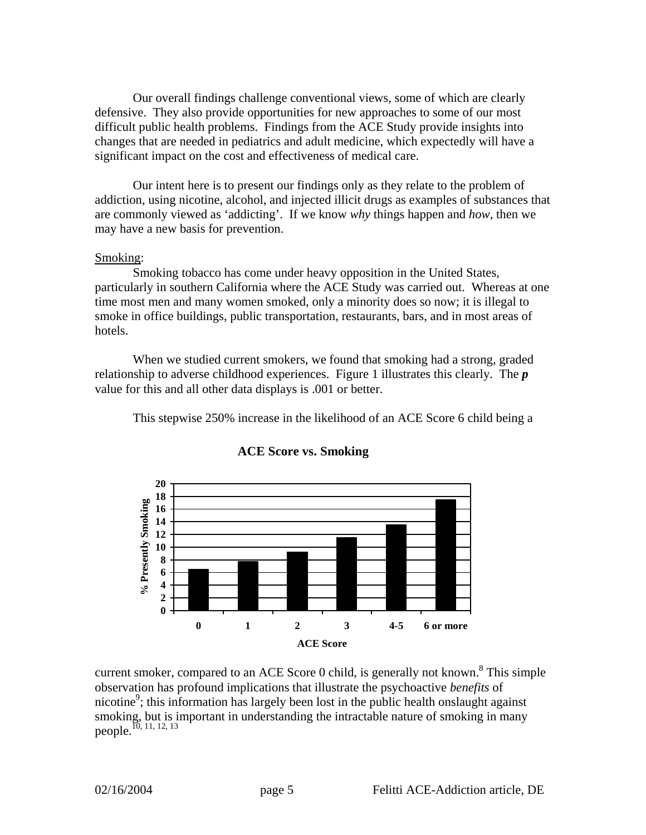Our overall findings challenge conventional views, some of which are clearly defensive. They also provide opportunities for new approaches to some of our most difficult public health problems. Findings from the ACE Study provide insights into changes that are needed in pediatrics and adult medicine, which expectedly will have a significant impact on the cost and effectiveness of medical care.

Our intent here is to present our findings only as they relate to the problem of addiction, using nicotine, alcohol, and injected illicit drugs as examples of substances that are commonly viewed as 'addicting'. If we know *why* things happen and *how*, then we may have a new basis for prevention.

#### Smoking:

Smoking tobacco has come under heavy opposition in the United States, particularly in southern California where the ACE Study was carried out. Whereas at one time most men and many women smoked, only a minority does so now; it is illegal to smoke in office buildings, public transportation, restaurants, bars, and in most areas of hotels.

When we studied current smokers, we found that smoking had a strong, graded relationship to adverse childhood experiences. Figure 1 illustrates this clearly. The *p* value for this and all other data displays is .001 or better.

This stepwise 250% increase in the likelihood of an ACE Score 6 child being a



## **ACE Score vs. Smoking**

current smoker, compared to an ACE Score 0 child, is generally not known.<sup>8</sup> This simple observation has profound implications that illustrate the psychoactive *benefits* of nicotine<sup>9</sup>; this information has largely been lost in the public health onslaught against smoking, but is important in understanding the intractable nature of smoking in many people.<sup>10, 11, 12, 13</sup>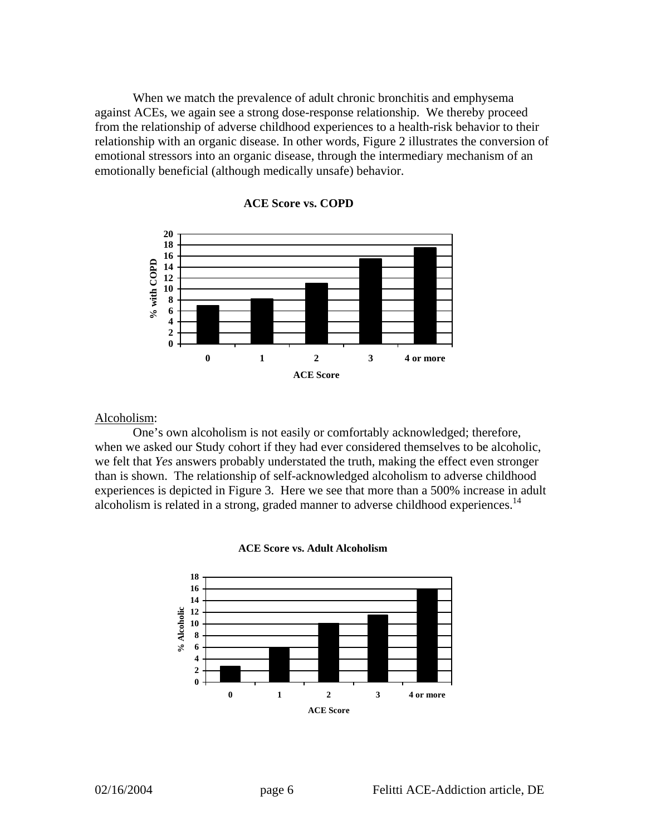When we match the prevalence of adult chronic bronchitis and emphysema against ACEs, we again see a strong dose-response relationship. We thereby proceed from the relationship of adverse childhood experiences to a health-risk behavior to their relationship with an organic disease. In other words, Figure 2 illustrates the conversion of emotional stressors into an organic disease, through the intermediary mechanism of an emotionally beneficial (although medically unsafe) behavior.





#### Alcoholism:

One's own alcoholism is not easily or comfortably acknowledged; therefore, when we asked our Study cohort if they had ever considered themselves to be alcoholic, we felt that *Yes* answers probably understated the truth, making the effect even stronger than is shown. The relationship of self-acknowledged alcoholism to adverse childhood experiences is depicted in Figure 3. Here we see that more than a 500% increase in adult alcoholism is related in a strong, graded manner to adverse childhood experiences.<sup>14</sup>



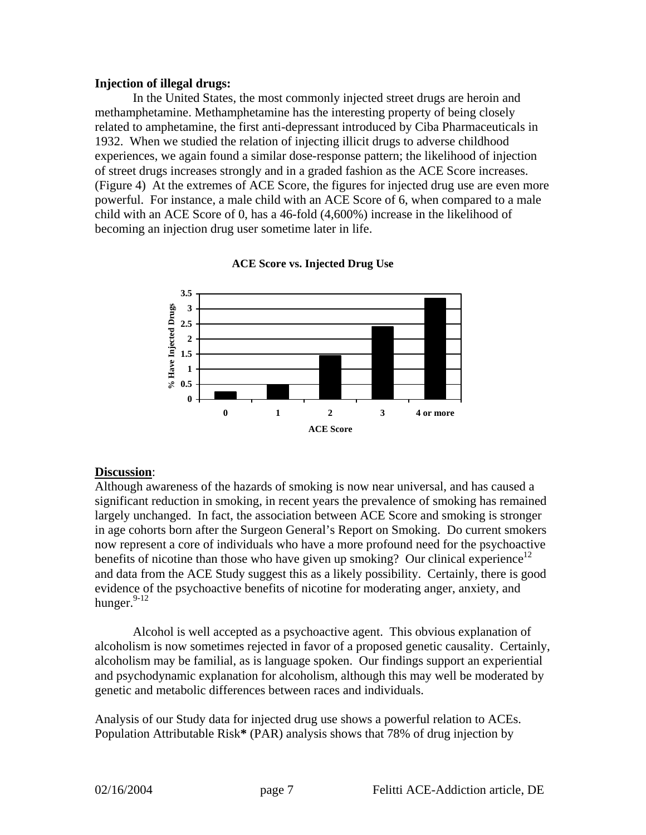# **Injection of illegal drugs:**

In the United States, the most commonly injected street drugs are heroin and methamphetamine. Methamphetamine has the interesting property of being closely related to amphetamine, the first anti-depressant introduced by Ciba Pharmaceuticals in 1932. When we studied the relation of injecting illicit drugs to adverse childhood experiences, we again found a similar dose-response pattern; the likelihood of injection of street drugs increases strongly and in a graded fashion as the ACE Score increases. (Figure 4) At the extremes of ACE Score, the figures for injected drug use are even more powerful. For instance, a male child with an ACE Score of 6, when compared to a male child with an ACE Score of 0, has a 46-fold (4,600%) increase in the likelihood of becoming an injection drug user sometime later in life.



# **ACE Score vs. Injected Drug Use**

# **Discussion**:

Although awareness of the hazards of smoking is now near universal, and has caused a significant reduction in smoking, in recent years the prevalence of smoking has remained largely unchanged. In fact, the association between ACE Score and smoking is stronger in age cohorts born after the Surgeon General's Report on Smoking. Do current smokers now represent a core of individuals who have a more profound need for the psychoactive benefits of nicotine than those who have given up smoking? Our clinical experience<sup>12</sup> and data from the ACE Study suggest this as a likely possibility. Certainly, there is good evidence of the psychoactive benefits of nicotine for moderating anger, anxiety, and hunger. $9-12$ 

Alcohol is well accepted as a psychoactive agent. This obvious explanation of alcoholism is now sometimes rejected in favor of a proposed genetic causality. Certainly, alcoholism may be familial, as is language spoken. Our findings support an experiential and psychodynamic explanation for alcoholism, although this may well be moderated by genetic and metabolic differences between races and individuals.

Analysis of our Study data for injected drug use shows a powerful relation to ACEs. Population Attributable Risk**\*** (PAR) analysis shows that 78% of drug injection by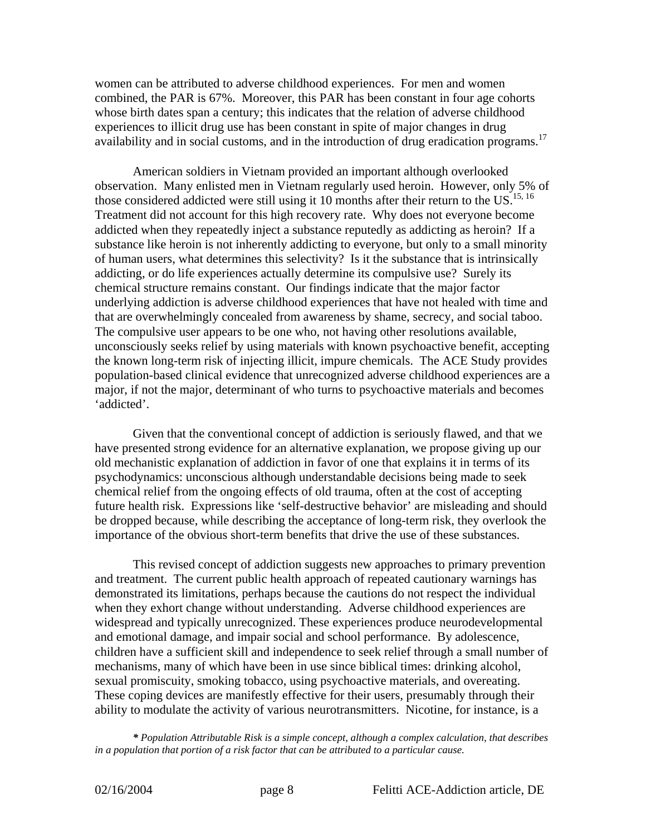women can be attributed to adverse childhood experiences. For men and women combined, the PAR is 67%. Moreover, this PAR has been constant in four age cohorts whose birth dates span a century; this indicates that the relation of adverse childhood experiences to illicit drug use has been constant in spite of major changes in drug availability and in social customs, and in the introduction of drug eradication programs. 17

American soldiers in Vietnam provided an important although overlooked observation. Many enlisted men in Vietnam regularly used heroin. However, only 5% of those considered addicted were still using it 10 months after their return to the US.<sup>15, 16</sup> Treatment did not account for this high recovery rate. Why does not everyone become addicted when they repeatedly inject a substance reputedly as addicting as heroin? If a substance like heroin is not inherently addicting to everyone, but only to a small minority of human users, what determines this selectivity? Is it the substance that is intrinsically addicting, or do life experiences actually determine its compulsive use? Surely its chemical structure remains constant. Our findings indicate that the major factor underlying addiction is adverse childhood experiences that have not healed with time and that are overwhelmingly concealed from awareness by shame, secrecy, and social taboo. The compulsive user appears to be one who, not having other resolutions available, unconsciously seeks relief by using materials with known psychoactive benefit, accepting the known long-term risk of injecting illicit, impure chemicals. The ACE Study provides population-based clinical evidence that unrecognized adverse childhood experiences are a major, if not the major, determinant of who turns to psychoactive materials and becomes 'addicted'.

Given that the conventional concept of addiction is seriously flawed, and that we have presented strong evidence for an alternative explanation, we propose giving up our old mechanistic explanation of addiction in favor of one that explains it in terms of its psychodynamics: unconscious although understandable decisions being made to seek chemical relief from the ongoing effects of old trauma, often at the cost of accepting future health risk. Expressions like 'self-destructive behavior' are misleading and should be dropped because, while describing the acceptance of long-term risk, they overlook the importance of the obvious short-term benefits that drive the use of these substances.

This revised concept of addiction suggests new approaches to primary prevention and treatment. The current public health approach of repeated cautionary warnings has demonstrated its limitations, perhaps because the cautions do not respect the individual when they exhort change without understanding. Adverse childhood experiences are widespread and typically unrecognized. These experiences produce neurodevelopmental and emotional damage, and impair social and school performance. By adolescence, children have a sufficient skill and independence to seek relief through a small number of mechanisms, many of which have been in use since biblical times: drinking alcohol, sexual promiscuity, smoking tobacco, using psychoactive materials, and overeating. These coping devices are manifestly effective for their users, presumably through their ability to modulate the activity of various neurotransmitters. Nicotine, for instance, is a

*\* Population Attributable Risk is a simple concept, although a complex calculation, that describes in a population that portion of a risk factor that can be attributed to a particular cause.*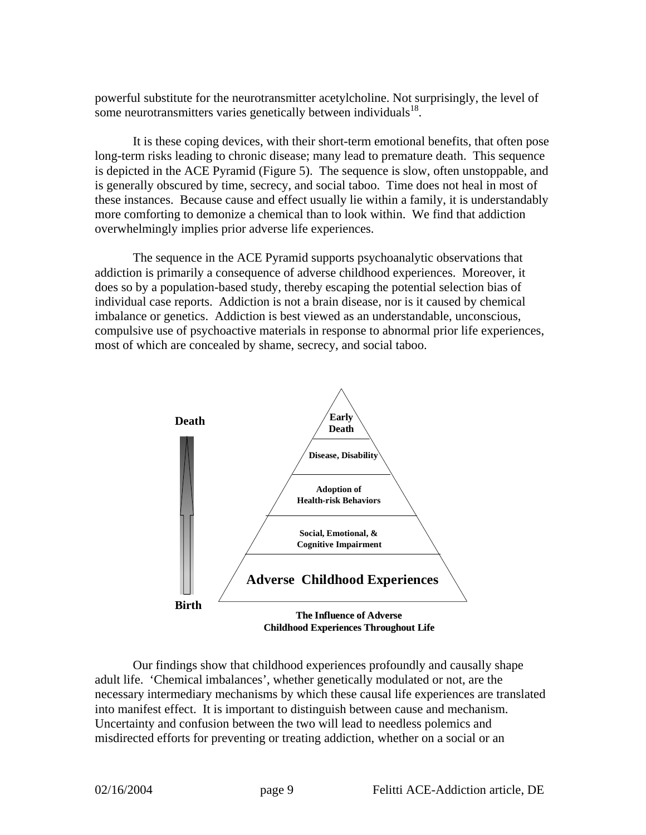powerful substitute for the neurotransmitter acetylcholine. Not surprisingly, the level of some neurotransmitters varies genetically between individuals<sup>18</sup>.

It is these coping devices, with their short-term emotional benefits, that often pose long-term risks leading to chronic disease; many lead to premature death. This sequence is depicted in the ACE Pyramid (Figure 5). The sequence is slow, often unstoppable, and is generally obscured by time, secrecy, and social taboo. Time does not heal in most of these instances. Because cause and effect usually lie within a family, it is understandably more comforting to demonize a chemical than to look within. We find that addiction overwhelmingly implies prior adverse life experiences.

The sequence in the ACE Pyramid supports psychoanalytic observations that addiction is primarily a consequence of adverse childhood experiences. Moreover, it does so by a population-based study, thereby escaping the potential selection bias of individual case reports. Addiction is not a brain disease, nor is it caused by chemical imbalance or genetics. Addiction is best viewed as an understandable, unconscious, compulsive use of psychoactive materials in response to abnormal prior life experiences, most of which are concealed by shame, secrecy, and social taboo.



Our findings show that childhood experiences profoundly and causally shape adult life. 'Chemical imbalances', whether genetically modulated or not, are the necessary intermediary mechanisms by which these causal life experiences are translated into manifest effect. It is important to distinguish between cause and mechanism. Uncertainty and confusion between the two will lead to needless polemics and misdirected efforts for preventing or treating addiction, whether on a social or an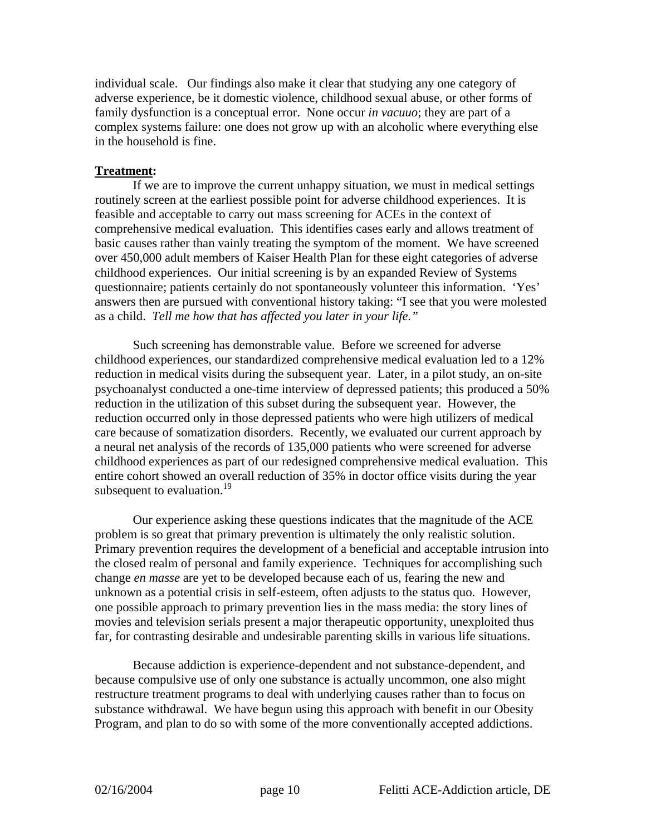individual scale. Our findings also make it clear that studying any one category of adverse experience, be it domestic violence, childhood sexual abuse, or other forms of family dysfunction is a conceptual error. None occur *in vacuuo*; they are part of a complex systems failure: one does not grow up with an alcoholic where everything else in the household is fine.

### **Treatment:**

If we are to improve the current unhappy situation, we must in medical settings routinely screen at the earliest possible point for adverse childhood experiences. It is feasible and acceptable to carry out mass screening for ACEs in the context of comprehensive medical evaluation. This identifies cases early and allows treatment of basic causes rather than vainly treating the symptom of the moment. We have screened over 450,000 adult members of Kaiser Health Plan for these eight categories of adverse childhood experiences. Our initial screening is by an expanded Review of Systems questionnaire; patients certainly do not spontaneously volunteer this information. 'Yes' answers then are pursued with conventional history taking: "I see that you were molested as a child. *Tell me how that has affected you later in your life."*

Such screening has demonstrable value. Before we screened for adverse childhood experiences, our standardized comprehensive medical evaluation led to a 12% reduction in medical visits during the subsequent year. Later, in a pilot study, an on-site psychoanalyst conducted a one-time interview of depressed patients; this produced a 50% reduction in the utilization of this subset during the subsequent year. However, the reduction occurred only in those depressed patients who were high utilizers of medical care because of somatization disorders. Recently, we evaluated our current approach by a neural net analysis of the records of 135,000 patients who were screened for adverse childhood experiences as part of our redesigned comprehensive medical evaluation. This entire cohort showed an overall reduction of 35% in doctor office visits during the year subsequent to evaluation. $19$ 

Our experience asking these questions indicates that the magnitude of the ACE problem is so great that primary prevention is ultimately the only realistic solution. Primary prevention requires the development of a beneficial and acceptable intrusion into the closed realm of personal and family experience. Techniques for accomplishing such change *en masse* are yet to be developed because each of us, fearing the new and unknown as a potential crisis in self-esteem, often adjusts to the status quo. However, one possible approach to primary prevention lies in the mass media: the story lines of movies and television serials present a major therapeutic opportunity, unexploited thus far, for contrasting desirable and undesirable parenting skills in various life situations.

Because addiction is experience-dependent and not substance-dependent, and because compulsive use of only one substance is actually uncommon, one also might restructure treatment programs to deal with underlying causes rather than to focus on substance withdrawal. We have begun using this approach with benefit in our Obesity Program, and plan to do so with some of the more conventionally accepted addictions.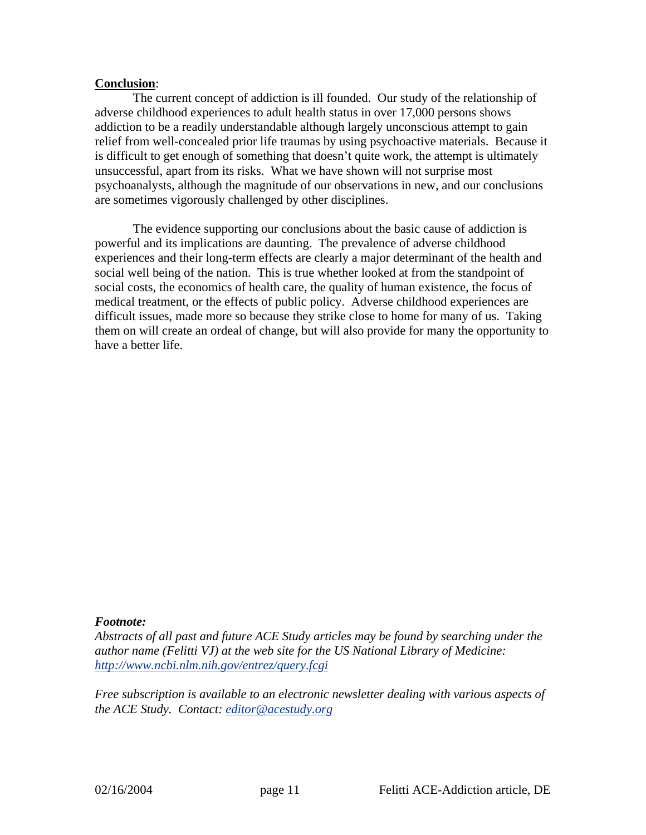## **Conclusion**:

The current concept of addiction is ill founded. Our study of the relationship of adverse childhood experiences to adult health status in over 17,000 persons shows addiction to be a readily understandable although largely unconscious attempt to gain relief from well-concealed prior life traumas by using psychoactive materials. Because it is difficult to get enough of something that doesn't quite work, the attempt is ultimately unsuccessful, apart from its risks. What we have shown will not surprise most psychoanalysts, although the magnitude of our observations in new, and our conclusions are sometimes vigorously challenged by other disciplines.

The evidence supporting our conclusions about the basic cause of addiction is powerful and its implications are daunting. The prevalence of adverse childhood experiences and their long-term effects are clearly a major determinant of the health and social well being of the nation. This is true whether looked at from the standpoint of social costs, the economics of health care, the quality of human existence, the focus of medical treatment, or the effects of public policy. Adverse childhood experiences are difficult issues, made more so because they strike close to home for many of us. Taking them on will create an ordeal of change, but will also provide for many the opportunity to have a better life.

## *Footnote:*

*Abstracts of all past and future ACE Study articles may be found by searching under the author name (Felitti VJ) at the web site for the US National Library of Medicine: <http://www.ncbi.nlm.nih.gov/entrez/query.fcgi>*

*Free subscription is available to an electronic newsletter dealing with various aspects of the ACE Study. Contact: [editor@acestudy.org](mailto:CAIPMredding@cox.net)*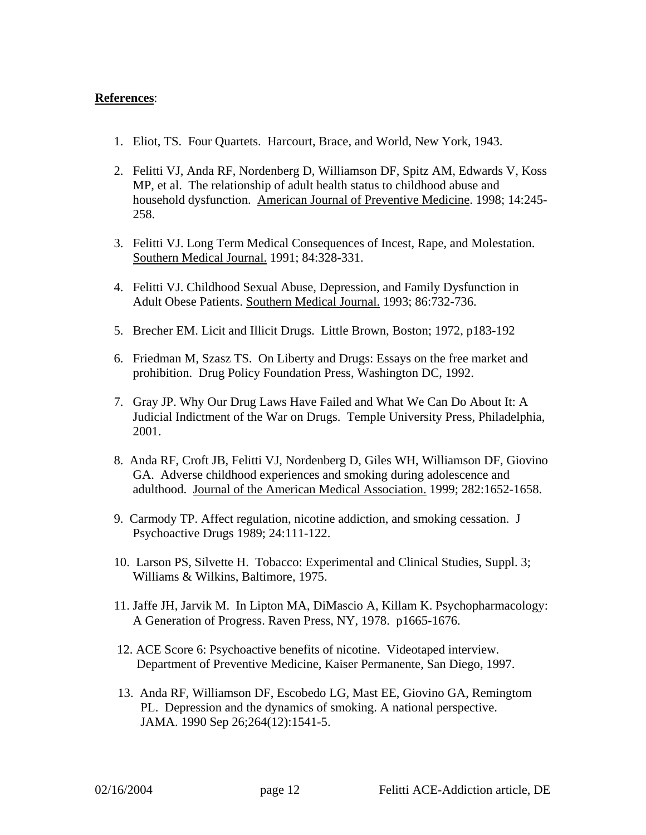# **References**:

- 1. Eliot, TS. Four Quartets. Harcourt, Brace, and World, New York, 1943.
- 2. Felitti VJ, Anda RF, Nordenberg D, Williamson DF, Spitz AM, Edwards V, Koss MP, et al. The relationship of adult health status to childhood abuse and household dysfunction. American Journal of Preventive Medicine. 1998; 14:245- 258.
- 3. Felitti VJ. Long Term Medical Consequences of Incest, Rape, and Molestation. Southern Medical Journal. 1991; 84:328-331.
- 4. Felitti VJ. Childhood Sexual Abuse, Depression, and Family Dysfunction in Adult Obese Patients. Southern Medical Journal. 1993; 86:732-736.
- 5. Brecher EM. Licit and Illicit Drugs. Little Brown, Boston; 1972, p183-192
- 6. Friedman M, Szasz TS. On Liberty and Drugs: Essays on the free market and prohibition. Drug Policy Foundation Press, Washington DC, 1992.
- 7. Gray JP. Why Our Drug Laws Have Failed and What We Can Do About It: A Judicial Indictment of the War on Drugs. Temple University Press, Philadelphia, 2001.
- 8. Anda RF, Croft JB, Felitti VJ, Nordenberg D, Giles WH, Williamson DF, Giovino GA. Adverse childhood experiences and smoking during adolescence and adulthood. Journal of the American Medical Association. 1999; 282:1652-1658.
- 9. Carmody TP. Affect regulation, nicotine addiction, and smoking cessation. J Psychoactive Drugs 1989; 24:111-122.
- 10. Larson PS, Silvette H. Tobacco: Experimental and Clinical Studies, Suppl. 3; Williams & Wilkins, Baltimore, 1975.
- 11. Jaffe JH, Jarvik M. In Lipton MA, DiMascio A, Killam K. Psychopharmacology: A Generation of Progress. Raven Press, NY, 1978. p1665-1676.
- 12. ACE Score 6: Psychoactive benefits of nicotine. Videotaped interview. Department of Preventive Medicine, Kaiser Permanente, San Diego, 1997.
- 13. Anda RF, Williamson DF, Escobedo LG, Mast EE, Giovino GA, Remingtom PL. Depression and the dynamics of smoking. A national perspective. JAMA. 1990 Sep 26;264(12):1541-5.